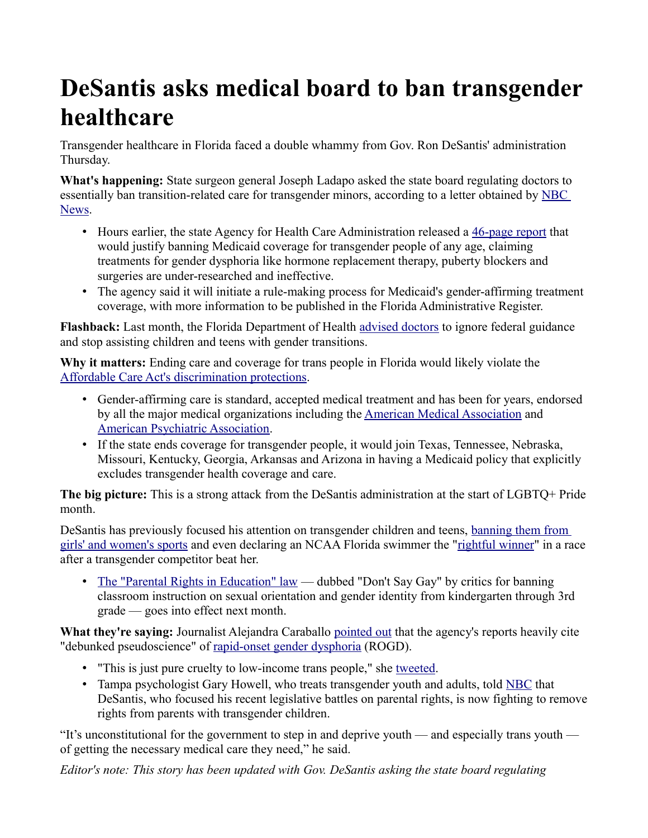## **DeSantis asks medical board to ban transgender healthcare**

Transgender healthcare in Florida faced a double whammy from Gov. Ron DeSantis' administration Thursday.

**What's happening:** State surgeon general Joseph Ladapo asked the state board regulating doctors to essentially ban transition-related care for transgender minors, according to a letter obtained by [NBC](https://www.nbcnews.com/politics/politics-news/desantis-moves-ban-transition-care-transgender-youth-medicaid-recipien-rcna31736)  [News.](https://www.nbcnews.com/politics/politics-news/desantis-moves-ban-transition-care-transgender-youth-medicaid-recipien-rcna31736)

- Hours earlier, the state Agency for Health Care Administration released a [46-page report](https://www.ahca.myflorida.com/letkidsbekids/docs/AHCA_GAPMS_June_2022_Report.pdf) that would justify banning Medicaid coverage for transgender people of any age, claiming treatments for gender dysphoria like hormone replacement therapy, puberty blockers and surgeries are under-researched and ineffective.
- The agency said it will initiate a rule-making process for Medicaid's gender-affirming treatment coverage, with more information to be published in the Florida Administrative Register.

**Flashback:** Last month, the Florida Department of Health [advised doctors](https://www.axios.com/2022/04/20/florida-transgender-social-transition-teens) to ignore federal guidance and stop assisting children and teens with gender transitions.

**Why it matters:** Ending care and coverage for trans people in Florida would likely violate the [Affordable Care Act's discrimination protections.](https://www.hhs.gov/civil-rights/for-individuals/section-1557/index.html)

- Gender-affirming care is standard, accepted medical treatment and has been for years, endorsed by all the major medical organizations including the [American Medical Association](https://www.ama-assn.org/delivering-care/population-care/advocating-lgbtq-community#:~:text=The%20AMA%20opposes%20policies%20preventing,including%20the%20use%20of%20restrooms.) and [American Psychiatric Association.](https://www.psychiatry.org/File%20Library/About-APA/Organization-Documents-Policies/Policies/Position-Transgender-Gender-Diverse-Youth.pdf)
- If the state ends coverage for transgender people, it would join Texas, Tennessee, Nebraska, Missouri, Kentucky, Georgia, Arkansas and Arizona in having a Medicaid policy that explicitly excludes transgender health coverage and care.

**The big picture:** This is a strong attack from the DeSantis administration at the start of LGBTQ+ Pride month.

DeSantis has previously focused his attention on transgender children and teens, [banning them from](https://www.axios.com/2021/06/01/florida-trans-athletes-ron-desantis)  [girls' and women's sports](https://www.axios.com/2021/06/01/florida-trans-athletes-ron-desantis) and even declaring an NCAA Florida swimmer the ["rightful winner"](https://www.axios.com/local/tampa-bay/2022/03/24/ron-desantis-proclamation-ncaa-transgender-swimmer) in a race after a transgender competitor beat her.

• [The "Parental Rights in Education" law](https://www.axios.com/2022/03/28/dont-say-gay-bill-desantis) — dubbed "Don't Say Gay" by critics for banning classroom instruction on sexual orientation and gender identity from kindergarten through 3rd grade — goes into effect next month.

**What they're saying:** Journalist Alejandra Caraballo [pointed out](https://twitter.com/Esqueer_/status/1532433494466408449) that the agency's reports heavily cite "debunked pseudoscience" of [rapid-onset gender dysphoria](https://psychcentral.com/lib/there-is-no-evidence-that-rapid-onset-gender-dysphoria-exists#1) (ROGD).

- "This is just pure cruelty to low-income trans people," she [tweeted.](https://twitter.com/Esqueer_/status/1532431737661247488?s=20&t=-QXePt_DorOYApQpySoSNA)
- Tampa psychologist Gary Howell, who treats transgender youth and adults, told [NBC](https://www.nbcnews.com/politics/politics-news/desantis-moves-ban-transition-care-transgender-youth-medicaid-recipien-rcna31736) that DeSantis, who focused his recent legislative battles on parental rights, is now fighting to remove rights from parents with transgender children.

"It's unconstitutional for the government to step in and deprive youth — and especially trans youth of getting the necessary medical care they need," he said.

*Editor's note: This story has been updated with Gov. DeSantis asking the state board regulating*